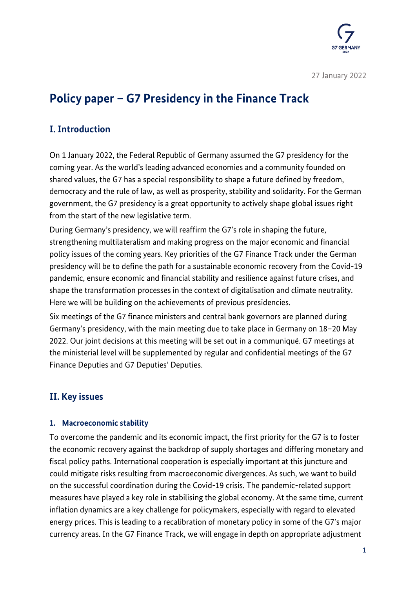

# **Policy paper – G7 Presidency in the Finance Track**

# **I. Introduction**

On 1 January 2022, the Federal Republic of Germany assumed the G7 presidency for the coming year. As the world's leading advanced economies and a community founded on shared values, the G7 has a special responsibility to shape a future defined by freedom, democracy and the rule of law, as well as prosperity, stability and solidarity. For the German government, the G7 presidency is a great opportunity to actively shape global issues right from the start of the new legislative term.

During Germany's presidency, we will reaffirm the G7's role in shaping the future, strengthening multilateralism and making progress on the major economic and financial policy issues of the coming years. Key priorities of the G7 Finance Track under the German presidency will be to define the path for a sustainable economic recovery from the Covid-19 pandemic, ensure economic and financial stability and resilience against future crises, and shape the transformation processes in the context of digitalisation and climate neutrality. Here we will be building on the achievements of previous presidencies.

Six meetings of the G7 finance ministers and central bank governors are planned during Germany's presidency, with the main meeting due to take place in Germany on 18–20 May 2022. Our joint decisions at this meeting will be set out in a communiqué. G7 meetings at the ministerial level will be supplemented by regular and confidential meetings of the G7 Finance Deputies and G7 Deputies' Deputies.

## **II. Key issues**

#### **1. Macroeconomic stability**

To overcome the pandemic and its economic impact, the first priority for the G7 is to foster the economic recovery against the backdrop of supply shortages and differing monetary and fiscal policy paths. International cooperation is especially important at this juncture and could mitigate risks resulting from macroeconomic divergences. As such, we want to build on the successful coordination during the Covid-19 crisis. The pandemic-related support measures have played a key role in stabilising the global economy. At the same time, current inflation dynamics are a key challenge for policymakers, especially with regard to elevated energy prices. This is leading to a recalibration of monetary policy in some of the G7's major currency areas. In the G7 Finance Track, we will engage in depth on appropriate adjustment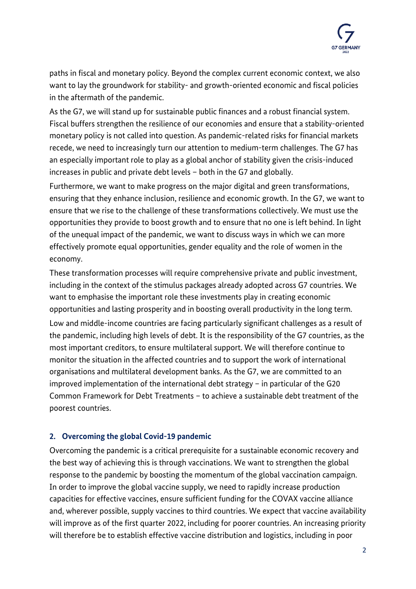paths in fiscal and monetary policy. Beyond the complex current economic context, we also want to lay the groundwork for stability- and growth-oriented economic and fiscal policies in the aftermath of the pandemic.

As the G7, we will stand up for sustainable public finances and a robust financial system. Fiscal buffers strengthen the resilience of our economies and ensure that a stability-oriented monetary policy is not called into question. As pandemic-related risks for financial markets recede, we need to increasingly turn our attention to medium-term challenges. The G7 has an especially important role to play as a global anchor of stability given the crisis-induced increases in public and private debt levels – both in the G7 and globally.

Furthermore, we want to make progress on the major digital and green transformations, ensuring that they enhance inclusion, resilience and economic growth. In the G7, we want to ensure that we rise to the challenge of these transformations collectively. We must use the opportunities they provide to boost growth and to ensure that no one is left behind. In light of the unequal impact of the pandemic, we want to discuss ways in which we can more effectively promote equal opportunities, gender equality and the role of women in the economy.

These transformation processes will require comprehensive private and public investment, including in the context of the stimulus packages already adopted across G7 countries. We want to emphasise the important role these investments play in creating economic opportunities and lasting prosperity and in boosting overall productivity in the long term.

Low and middle-income countries are facing particularly significant challenges as a result of the pandemic, including high levels of debt. It is the responsibility of the G7 countries, as the most important creditors, to ensure multilateral support. We will therefore continue to monitor the situation in the affected countries and to support the work of international organisations and multilateral development banks. As the G7, we are committed to an improved implementation of the international debt strategy – in particular of the G20 Common Framework for Debt Treatments – to achieve a sustainable debt treatment of the poorest countries.

### **2. Overcoming the global Covid-19 pandemic**

Overcoming the pandemic is a critical prerequisite for a sustainable economic recovery and the best way of achieving this is through vaccinations. We want to strengthen the global response to the pandemic by boosting the momentum of the global vaccination campaign. In order to improve the global vaccine supply, we need to rapidly increase production capacities for effective vaccines, ensure sufficient funding for the COVAX vaccine alliance and, wherever possible, supply vaccines to third countries. We expect that vaccine availability will improve as of the first quarter 2022, including for poorer countries. An increasing priority will therefore be to establish effective vaccine distribution and logistics, including in poor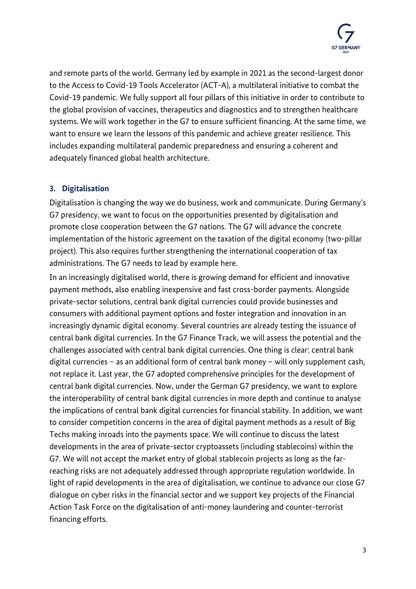

and remote parts of the world. Germany led by example in 2021 as the second-largest donor to the Access to Covid-19 Tools Accelerator (ACT-A), a multilateral initiative to combat the Covid-19 pandemic. We fully support all four pillars of this initiative in order to contribute to the global provision of vaccines, therapeutics and diagnostics and to strengthen healthcare systems. We will work together in the G7 to ensure sufficient financing. At the same time, we want to ensure we learn the lessons of this pandemic and achieve greater resilience. This includes expanding multilateral pandemic preparedness and ensuring a coherent and adequately financed global health architecture.

#### **3. Digitalisation**

Digitalisation is changing the way we do business, work and communicate. During Germany's G7 presidency, we want to focus on the opportunities presented by digitalisation and promote close cooperation between the G7 nations. The G7 will advance the concrete implementation of the historic agreement on the taxation of the digital economy (two-pillar project). This also requires further strengthening the international cooperation of tax administrations. The G7 needs to lead by example here.

In an increasingly digitalised world, there is growing demand for efficient and innovative payment methods, also enabling inexpensive and fast cross-border payments. Alongside private-sector solutions, central bank digital currencies could provide businesses and consumers with additional payment options and foster integration and innovation in an increasingly dynamic digital economy. Several countries are already testing the issuance of central bank digital currencies. In the G7 Finance Track, we will assess the potential and the challenges associated with central bank digital currencies. One thing is clear: central bank digital currencies – as an additional form of central bank money – will only supplement cash, not replace it. Last year, the G7 adopted comprehensive principles for the development of central bank digital currencies. Now, under the German G7 presidency, we want to explore the interoperability of central bank digital currencies in more depth and continue to analyse the implications of central bank digital currencies for financial stability. In addition, we want to consider competition concerns in the area of digital payment methods as a result of Big Techs making inroads into the payments space. We will continue to discuss the latest developments in the area of private-sector cryptoassets (including stablecoins) within the G7. We will not accept the market entry of global stablecoin projects as long as the farreaching risks are not adequately addressed through appropriate regulation worldwide. In light of rapid developments in the area of digitalisation, we continue to advance our close G7 dialogue on cyber risks in the financial sector and we support key projects of the Financial Action Task Force on the digitalisation of anti-money laundering and counter-terrorist financing efforts.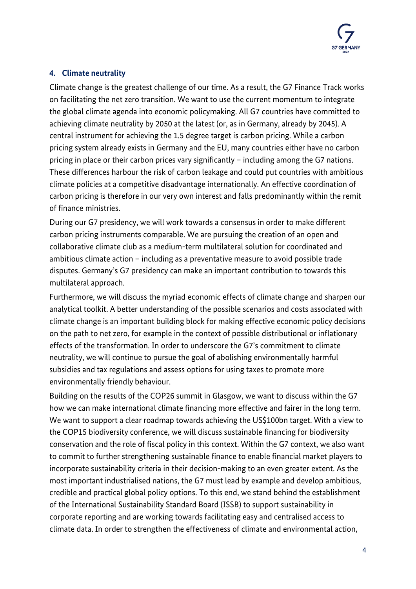

## **4. Climate neutrality**

Climate change is the greatest challenge of our time. As a result, the G7 Finance Track works on facilitating the net zero transition. We want to use the current momentum to integrate the global climate agenda into economic policymaking. All G7 countries have committed to achieving climate neutrality by 2050 at the latest (or, as in Germany, already by 2045). A central instrument for achieving the 1.5 degree target is carbon pricing. While a carbon pricing system already exists in Germany and the EU, many countries either have no carbon pricing in place or their carbon prices vary significantly – including among the G7 nations. These differences harbour the risk of carbon leakage and could put countries with ambitious climate policies at a competitive disadvantage internationally. An effective coordination of carbon pricing is therefore in our very own interest and falls predominantly within the remit of finance ministries.

During our G7 presidency, we will work towards a consensus in order to make different carbon pricing instruments comparable. We are pursuing the creation of an open and collaborative climate club as a medium-term multilateral solution for coordinated and ambitious climate action – including as a preventative measure to avoid possible trade disputes. Germany's G7 presidency can make an important contribution to towards this multilateral approach.

Furthermore, we will discuss the myriad economic effects of climate change and sharpen our analytical toolkit. A better understanding of the possible scenarios and costs associated with climate change is an important building block for making effective economic policy decisions on the path to net zero, for example in the context of possible distributional or inflationary effects of the transformation. In order to underscore the G7's commitment to climate neutrality, we will continue to pursue the goal of abolishing environmentally harmful subsidies and tax regulations and assess options for using taxes to promote more environmentally friendly behaviour.

Building on the results of the COP26 summit in Glasgow, we want to discuss within the G7 how we can make international climate financing more effective and fairer in the long term. We want to support a clear roadmap towards achieving the US\$100bn target. With a view to the COP15 biodiversity conference, we will discuss sustainable financing for biodiversity conservation and the role of fiscal policy in this context. Within the G7 context, we also want to commit to further strengthening sustainable finance to enable financial market players to incorporate sustainability criteria in their decision-making to an even greater extent. As the most important industrialised nations, the G7 must lead by example and develop ambitious, credible and practical global policy options. To this end, we stand behind the establishment of the International Sustainability Standard Board (ISSB) to support sustainability in corporate reporting and are working towards facilitating easy and centralised access to climate data. In order to strengthen the effectiveness of climate and environmental action,